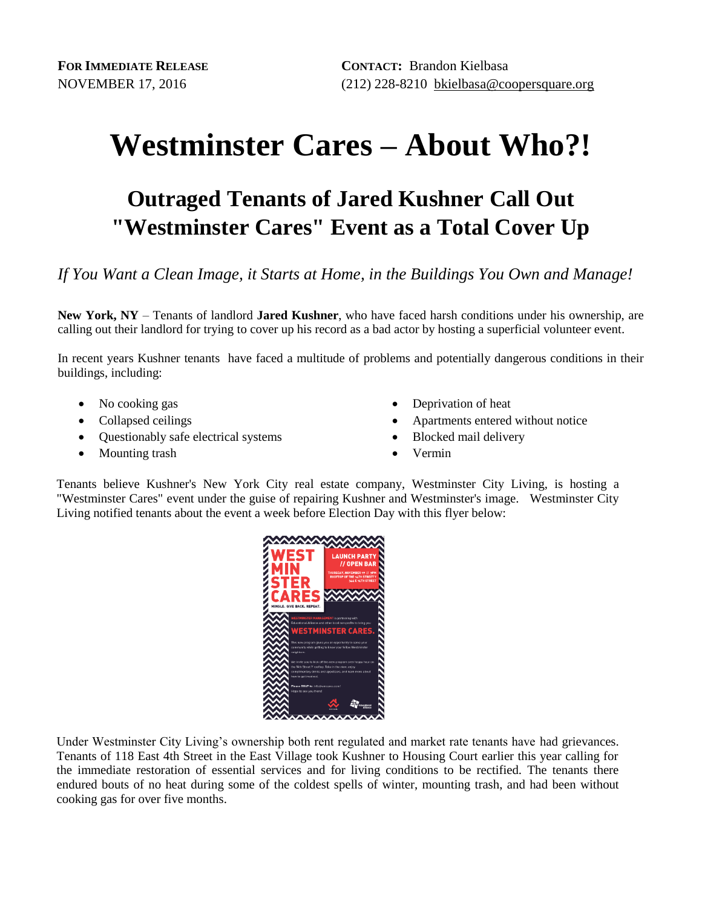## **Westminster Cares – About Who?!**

## **Outraged Tenants of Jared Kushner Call Out "Westminster Cares" Event as a Total Cover Up**

*If You Want a Clean Image, it Starts at Home, in the Buildings You Own and Manage!*

**New York, NY** – Tenants of landlord **Jared Kushner**, who have faced harsh conditions under his ownership, are calling out their landlord for trying to cover up his record as a bad actor by hosting a superficial volunteer event.

In recent years Kushner tenants have faced a multitude of problems and potentially dangerous conditions in their buildings, including:

- No cooking gas
- Collapsed ceilings
- Ouestionably safe electrical systems
- Mounting trash
- Deprivation of heat
- Apartments entered without notice
- Blocked mail delivery
- Vermin

Tenants believe Kushner's New York City real estate company, Westminster City Living, is hosting a "Westminster Cares" event under the guise of repairing Kushner and Westminster's image. Westminster City Living notified tenants about the event a week before Election Day with this flyer below:



Under Westminster City Living's ownership both rent regulated and market rate tenants have had grievances. Tenants of 118 East 4th Street in the East Village took Kushner to Housing Court earlier this year calling for the immediate restoration of essential services and for living conditions to be rectified. The tenants there endured bouts of no heat during some of the coldest spells of winter, mounting trash, and had been without cooking gas for over five months.